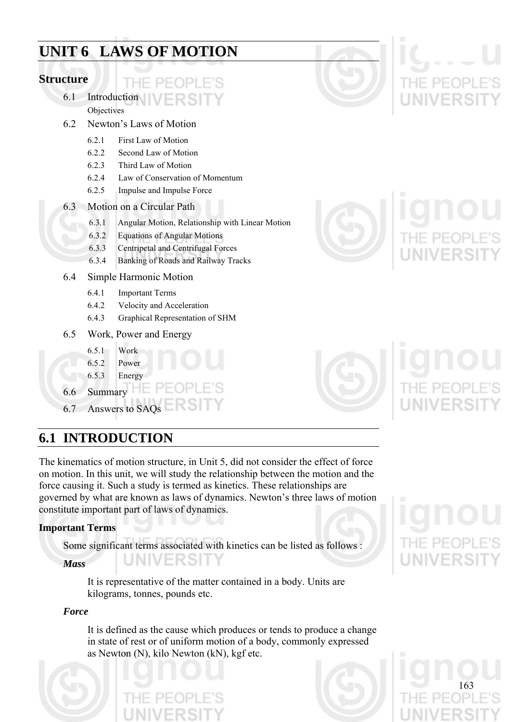# **Laws of Motion UNIT 6 LAWS OF MOTION**

### **Structure**

### $\left| - \right|$ 6.1 Introduction

**Objectives** 

- 6.2 Newton's Laws of Motion
	- 6.2.1 First Law of Motion
	- 6.2.2 Second Law of Motion
	- 6.2.3 Third Law of Motion
	- 6.2.4 Law of Conservation of Momentum
	- 6.2.5 Impulse and Impulse Force
- 6.3 Motion on a Circular Path
	- 6.3.1 Angular Motion, Relationship with Linear Motion
	- 6.3.2 Equations of Angular Motions
	- 6.3.3 Centripetal and Centrifugal Forces
	- 6.3.4 Banking of Roads and Railway Tracks

### 6.4 Simple Harmonic Motion

- 6.4.1 Important Terms
- 6.4.2 Velocity and Acceleration
- 6.4.3 Graphical Representation of SHM
- 6.5 Work, Power and Energy
	- 6.5.1 Work
	- 6.5.2 Power
	- 6.5.3 Energy
- 6.6 Summary
- 6.7 Answers to SAQs

# **6.1 INTRODUCTION**

The kinematics of motion structure, in Unit 5, did not consider the effect of force on motion. In this unit, we will study the relationship between the motion and the force causing it. Such a study is termed as kinetics. These relationships are governed by what are known as laws of dynamics. Newton's three laws of motion constitute important part of laws of dynamics.

### **Important Terms**

Some significant terms associated with kinetics can be listed as follows :

UNIVERSITY

### *Mass*

It is representative of the matter contained in a body. Units are kilograms, tonnes, pounds etc.

### *Force*

It is defined as the cause which produces or tends to produce a change in state of rest or of uniform motion of a body, commonly expressed as Newton (N), kilo Newton (kN), kgf etc.









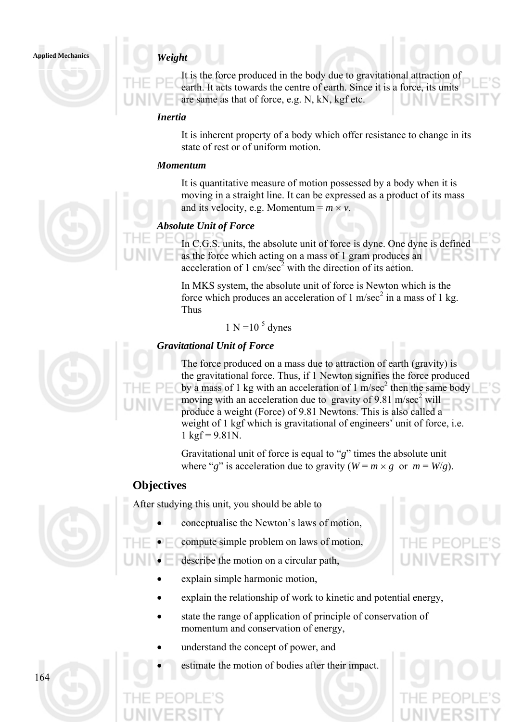**Applied Mechanics** *Weight* 

It is the force produced in the body due to gravitational attraction of earth. It acts towards the centre of earth. Since it is a force, its units are same as that of force, e.g. N, kN, kgf etc.

### *Inertia*

It is inherent property of a body which offer resistance to change in its state of rest or of uniform motion.

### *Momentum*

It is quantitative measure of motion possessed by a body when it is moving in a straight line. It can be expressed as a product of its mass and its velocity, e.g. Momentum =  $m \times v$ .

### *Absolute Unit of Force*

In C.G.S. units, the absolute unit of force is dyne. One dyne is defined as the force which acting on a mass of 1 gram produces an acceleration of 1 cm/sec<sup>2</sup> with the direction of its action.

In MKS system, the absolute unit of force is Newton which is the force which produces an acceleration of 1 m/sec<sup>2</sup> in a mass of 1 kg. Thus

$$
1 \text{ N} = 10^5 \text{ dynes}
$$

### *Gravitational Unit of Force*

The force produced on a mass due to attraction of earth (gravity) is the gravitational force. Thus, if 1 Newton signifies the force produced by a mass of 1 kg with an acceleration of 1 m/sec<sup>2</sup> then the same body moving with an acceleration due to gravity of 9.81 m/sec<sup>2</sup> will produce a weight (Force) of 9.81 Newtons. This is also called a weight of 1 kgf which is gravitational of engineers' unit of force, i.e.  $1 \text{ kgf} = 9.81 \text{N}$ .

Gravitational unit of force is equal to "*g*" times the absolute unit where "*g*" is acceleration due to gravity ( $W = m \times g$  or  $m = W/g$ ).

### **Objectives**

After studying this unit, you should be able to

- conceptualise the Newton's laws of motion,
- compute simple problem on laws of motion,
- describe the motion on a circular path,
	- explain simple harmonic motion,
	- explain the relationship of work to kinetic and potential energy,
	- state the range of application of principle of conservation of momentum and conservation of energy,
	- understand the concept of power, and
	- estimate the motion of bodies after their impact.







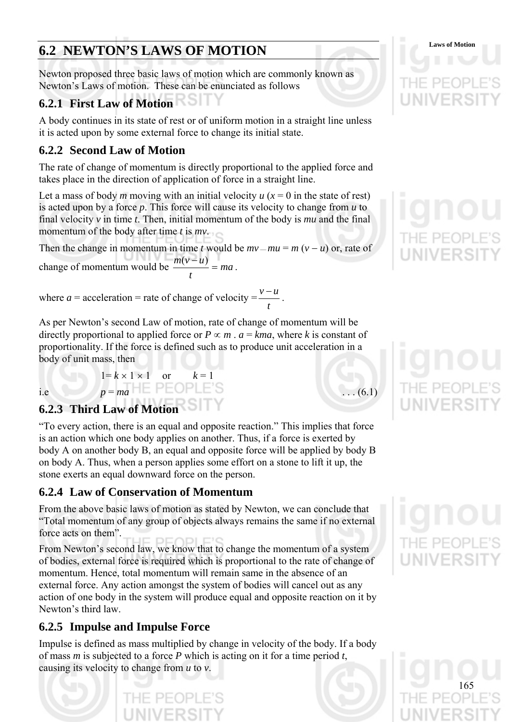# **6.2 NEWTON'S LAWS OF MOTION** Laws of Motion

Newton proposed three basic laws of motion which are commonly known as Newton's Laws of motion. These can be enunciated as follows

# **6.2.1 First Law of Motion**

A body continues in its state of rest or of uniform motion in a straight line unless it is acted upon by some external force to change its initial state.

## **6.2.2 Second Law of Motion**

The rate of change of momentum is directly proportional to the applied force and takes place in the direction of application of force in a straight line.

Let a mass of body *m* moving with an initial velocity  $u(x=0)$  in the state of rest) is acted upon by a force *p*. This force will cause its velocity to change from *u* to final velocity *v* in time *t*. Then, initial momentum of the body is *mu* and the final momentum of the body after time *t* is *mv*.

Then the change in momentum in time *t* would be  $mv - mu = m (v - u)$  or, rate of change of momentum would be  $\frac{m(v-a)}{m} = ma$  $\frac{m(v-u)}{m} = ma$ .

*t*

where  $a =$  acceleration = rate of change of velocity = *t*  $\frac{v-u}{v}$ .

As per Newton's second Law of motion, rate of change of momentum will be directly proportional to applied force or  $P \propto m$ .  $a = kma$ , where k is constant of proportionality. If the force is defined such as to produce unit acceleration in a body of unit mass, then

i.e  $p = ma$   $\overline{P} \in \text{OPLE}$ 'S ... (6.1)

# **6.2.3 Third Law of Motion**

 $1 = k \times 1 \times 1$  or

"To every action, there is an equal and opposite reaction." This implies that force is an action which one body applies on another. Thus, if a force is exerted by body A on another body B, an equal and opposite force will be applied by body B on body A. Thus, when a person applies some effort on a stone to lift it up, the stone exerts an equal downward force on the person.

# **6.2.4 Law of Conservation of Momentum**

From the above basic laws of motion as stated by Newton, we can conclude that "Total momentum of any group of objects always remains the same if no external force acts on them".

From Newton's second law, we know that to change the momentum of a system of bodies, external force is required which is proportional to the rate of change of momentum. Hence, total momentum will remain same in the absence of an external force. Any action amongst the system of bodies will cancel out as any action of one body in the system will produce equal and opposite reaction on it by Newton's third law.

# **6.2.5 Impulse and Impulse Force**

Impulse is defined as mass multiplied by change in velocity of the body. If a body of mass *m* is subjected to a force *P* which is acting on it for a time period *t*, causing its velocity to change from *u* to *v*.









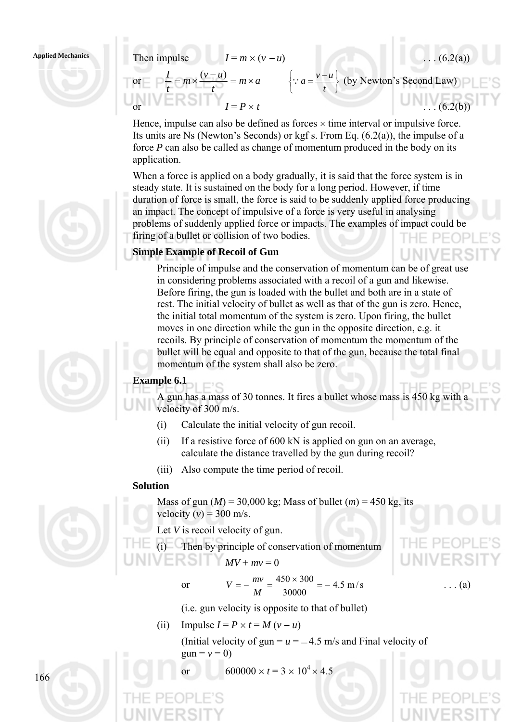

Applied Mechanics Then impulse  $I = m \times (v - u)$  . . . (6.2(a)) or  $\overline{\phantom{a}} = m \times \frac{(b-a)}{a} = m \times a$ *t*  $m \times \frac{(v-u)}{u}$ *t*  $\frac{I}{I} = m \times \frac{(v - u)}{v} = m \times$ ⎭  $\left\{ \right\}$  $\vert$  $\overline{a}$  $\left\{\because a = \frac{v - u}{t}\right\}$  (by Newton's Second Law) or  $I = P \times t$  . . . . (6.2(b))

> Hence, impulse can also be defined as forces  $\times$  time interval or impulsive force. Its units are Ns (Newton's Seconds) or kgf s. From Eq. (6.2(a)), the impulse of a force *P* can also be called as change of momentum produced in the body on its application.

When a force is applied on a body gradually, it is said that the force system is in steady state. It is sustained on the body for a long period. However, if time duration of force is small, the force is said to be suddenly applied force producing an impact. The concept of impulsive of a force is very useful in analysing problems of suddenly applied force or impacts. The examples of impact could be firing of a bullet or collision of two bodies.

### **Simple Example of Recoil of Gun**

Principle of impulse and the conservation of momentum can be of great use in considering problems associated with a recoil of a gun and likewise. Before firing, the gun is loaded with the bullet and both are in a state of rest. The initial velocity of bullet as well as that of the gun is zero. Hence, the initial total momentum of the system is zero. Upon firing, the bullet moves in one direction while the gun in the opposite direction, e.g. it recoils. By principle of conservation of momentum the momentum of the bullet will be equal and opposite to that of the gun, because the total final momentum of the system shall also be zero.

### **Example 6.1**

A gun has a mass of 30 tonnes. It fires a bullet whose mass is 450 kg with a velocity of 300 m/s.

- (i) Calculate the initial velocity of gun recoil.
- (ii) If a resistive force of 600 kN is applied on gun on an average, calculate the distance travelled by the gun during recoil?
- (iii) Also compute the time period of recoil.

### **Solution**

Mass of gun  $(M)$  = 30,000 kg; Mass of bullet  $(m)$  = 450 kg, its velocity  $(v) = 300$  m/s.

- Let *V* is recoil velocity of gun.
- (i) Then by principle of conservation of momentum

$$
N \cup E S \cup MV + mv = 0
$$

or 
$$
V = -\frac{mv}{M} = \frac{450 \times 300}{30000} = -4.5 \text{ m/s}
$$
 ... (a)



 $=$   $\Box$ 

(i.e. gun velocity is opposite to that of bullet)

(ii) Impulse  $I = P \times t = M (v - u)$ 

(Initial velocity of gun  $=$   $u = -4.5$  m/s and Final velocity of  $g$ un =  $v$  = 0)

 $600000 \times t = 3 \times 10^4 \times 4.5$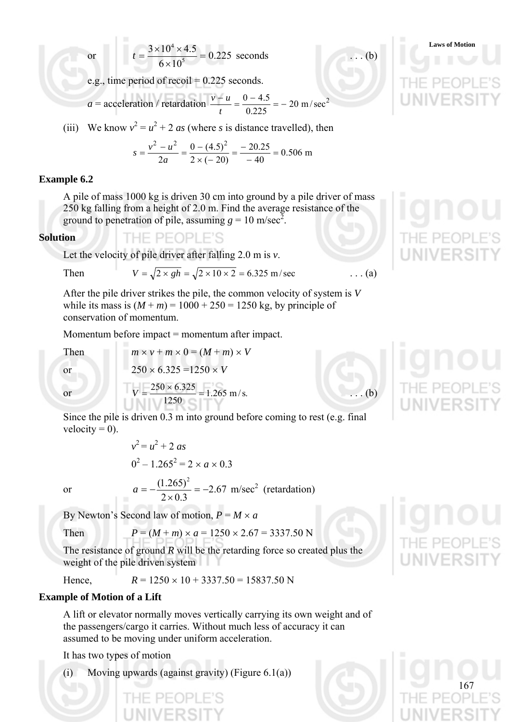or 
$$
t = \frac{3 \times 10^4 \times 4.5}{6 \times 10^5} = 0.225
$$
 seconds

e.g., time period of recoil = 0.225 seconds.

 $a =$  acceleration / retardation  $\frac{v - u}{v - u} = \frac{0 - 4.5}{0.0025} = -20$  m/sec<sup>2</sup> 0.225  $\frac{-u}{-} = \frac{0 - 4.5}{-} =$ *t*  $v - u$ 

(iii) We know  $v^2 = u^2 + 2$  *as* (where *s* is distance travelled), then

$$
s = \frac{v^2 - u^2}{2a} = \frac{0 - (4.5)^2}{2 \times (-20)} = \frac{-20.25}{-40} = 0.506 \text{ m}
$$

### **Example 6.2**

A pile of mass 1000 kg is driven 30 cm into ground by a pile driver of mass 250 kg falling from a height of 2.0 m. Find the average resistance of the ground to penetration of pile, assuming  $g = 10$  m/sec<sup>2</sup>.

### **Solution**

Let the velocity of pile driver after falling 2.0 m is *v*.

THE PEOPLE'S

Then  $V = \sqrt{2 \times gh} = \sqrt{2 \times 10 \times 2} = 6.325 \text{ m/sec}$  ... (a)

After the pile driver strikes the pile, the common velocity of system is *V* while its mass is  $(M + m) = 1000 + 250 = 1250$  kg, by principle of conservation of momentum.

Momentum before impact = momentum after impact.

1250

 $0^2 - 1.265^2 = 2 \times a \times 0.3$ 

Then  $m \times v + m \times 0 = (M + m) \times V$ 

or  $250 \times 6.325 = 1250 \times V$ 

Since the pile is driven 0.3 m into ground before coming to rest (e.g. final velocity  $= 0$ ).

or 
$$
a = -\frac{(1.265)^2}{2 \times 0.3} = -2.67 \text{ m/sec}^2 \text{ (retardation)}
$$

By Newton's Second law of motion,  $P = M \times a$ 

 $v^2 = u^2 + 2 \text{ as}$ 

Then 
$$
P = (M + m) \times a = 1250 \times 2.67 = 3337.50 \text{ N}
$$

The resistance of ground *R* will be the retarding force so created plus the weight of the pile driven system

Hence  $R = 1250 \times 10 + 3337.50 = 15837.50$  N

### **Example of Motion of a Lift**

A lift or elevator normally moves vertically carrying its own weight and of the passengers/cargo it carries. Without much less of accuracy it can assumed to be moving under uniform acceleration.

It has two types of motion

(i) Moving upwards (against gravity) (Figure  $6.1(a)$ )





**Laws of Motion**



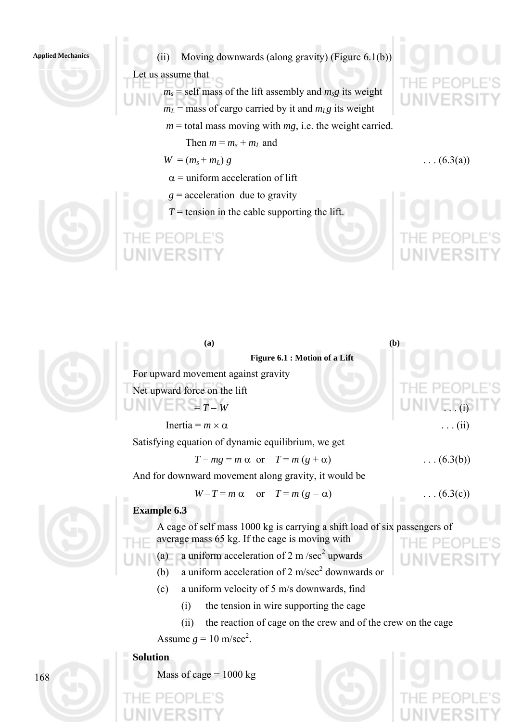Applied Mechanics **(iii)** Moving downwards (along gravity) (Figure 6.1(b))

Let us assume that

- $m_s$  = self mass of the lift assembly and  $m_s$ g its weight  $m<sub>L</sub>$  = mass of cargo carried by it and  $m<sub>L</sub>g$  its weight
	- $m =$  total mass moving with  $mg$ , i.e. the weight carried.
		- Then  $m = m_s + m_L$  and

$$
W = (m_s + m_L) g
$$

 $\alpha$  = uniform acceleration of lift

- $g$  = acceleration due to gravity
- $T =$  tension in the cable supporting the lift.



| (a)                                                                       | (b)               |  |
|---------------------------------------------------------------------------|-------------------|--|
| Figure 6.1 : Motion of a Lift                                             |                   |  |
| For upward movement against gravity                                       |                   |  |
| Net upward force on the lift                                              |                   |  |
| $T = T - W$                                                               | $UNIV = (i)$      |  |
| Inertia = $m \times \alpha$                                               | $\ldots$ (ii)     |  |
| Satisfying equation of dynamic equilibrium, we get                        |                   |  |
| $T - mg = m \alpha$ or $T = m (g + \alpha)$                               | $\ldots (6.3(b))$ |  |
| And for downward movement along gravity, it would be                      |                   |  |
| $W-T = m \alpha$ or $T = m (g - \alpha)$                                  | $\ldots (6.3(c))$ |  |
| <b>Example 6.3</b>                                                        |                   |  |
| A cage of self mass 1000 kg is carrying a shift load of six passengers of |                   |  |
| average mass 65 kg. If the cage is moving with                            | $P \vdash C) P$   |  |
| a uniform acceleration of 2 m/sec <sup>2</sup> upwards<br>(a)             | UNIVERS           |  |
| a uniform acceleration of $2 \text{ m/sec}^2$ downwards or<br>(b)         |                   |  |
| (c)<br>a uniform velocity of 5 m/s downwards, find                        |                   |  |
| the tension in wire supporting the cage<br>(i)                            |                   |  |
| the reaction of cage on the crew and of the crew on the cage<br>(ii)      |                   |  |
| Assume $g = 10$ m/sec <sup>2</sup> .                                      |                   |  |



**Solution**

Mass of cage  $= 1000$  kg





 $\ldots$  (6.3(a))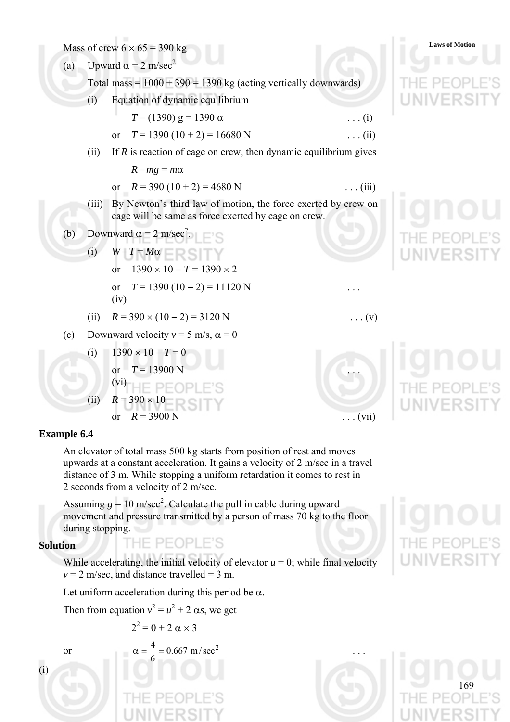Mass of crew  $6 \times 65 = 390 \text{ kg}$  Laws of Motion



**Example 6.4** 

An elevator of total mass 500 kg starts from position of rest and moves upwards at a constant acceleration. It gains a velocity of 2 m/sec in a travel distance of 3 m. While stopping a uniform retardation it comes to rest in 2 seconds from a velocity of 2 m/sec.

or  $R = 3900 \text{ N}$  ... (vii)

Assuming  $g = 10$  m/sec<sup>2</sup>. Calculate the pull in cable during upward movement and pressure transmitted by a person of mass 70 kg to the floor during stopping.

### **Solution**

While accelerating, the initial velocity of elevator  $u = 0$ ; while final velocity  $v = 2$  m/sec, and distance travelled = 3 m.

Let uniform acceleration during this period be  $\alpha$ .

THE PEOPLE'S

Then from equation  $v^2 = u^2 + 2 \alpha s$ , we get

$$
2^2 = 0 + 2 \alpha \times 3
$$

(i)

or 
$$
\alpha = \frac{4}{6} = 0.667 \text{ m/sec}^2
$$
 ...  
THE PEOPLE'S

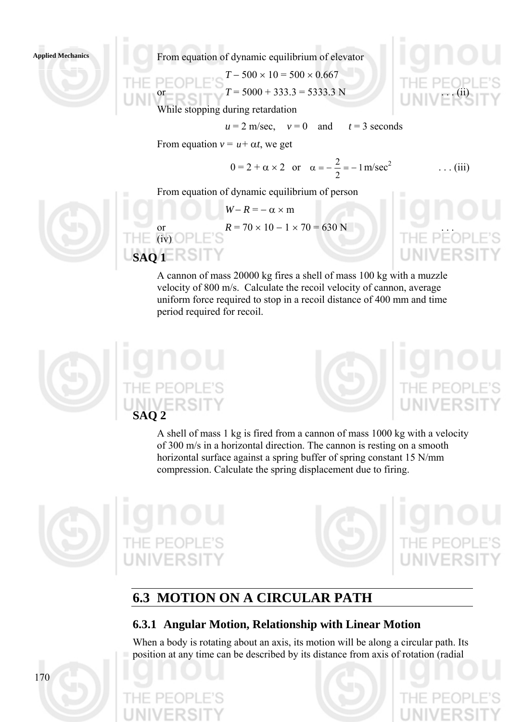Applied Mechanics<br> **Applied Mechanics Applied Mechanics Applied Mechanics Applied Mechanics Applied Mechanics Applied Mechanics Applied Mechanics Applied Mechanics Applied Mechanics Applied Mechanics Ap** 

P E OPLE S 
$$
T = 500 \times 10 = 500 \times 0.667
$$
  
\nor  
\n $T = 5000 + 333.3 = 5333.3$  N  
\nTHE PE QE  
\n(ii)

 $u = 2$  m/sec,  $v = 0$  and  $t = 3$  seconds

While stopping during retardation

From equation  $v = u + \alpha t$ , we get

$$
0 = 2 + \alpha \times 2
$$
 or  $\alpha = -\frac{2}{2} = -1$  m/sec<sup>2</sup> ... (iii)

From equation of dynamic equilibrium of person

$$
W-R = -\alpha \times m
$$
  
or  
(iv) OPLE's  
**SAQ 1** E'S  
**BAQ 1**

A cannon of mass 20000 kg fires a shell of mass 100 kg with a muzzle velocity of 800 m/s. Calculate the recoil velocity of cannon, average uniform force required to stop in a recoil distance of 400 mm and time period required for recoil.



 $\Box = \Box$  (iv)  $\Box$ 

A shell of mass 1 kg is fired from a cannon of mass 1000 kg with a velocity of 300 m/s in a horizontal direction. The cannon is resting on a smooth horizontal surface against a spring buffer of spring constant 15 N/mm compression. Calculate the spring displacement due to firing.





# **6.3 MOTION ON A CIRCULAR PATH**

### **6.3.1 Angular Motion, Relationship with Linear Motion**

When a body is rotating about an axis, its motion will be along a circular path. Its position at any time can be described by its distance from axis of rotation (radial

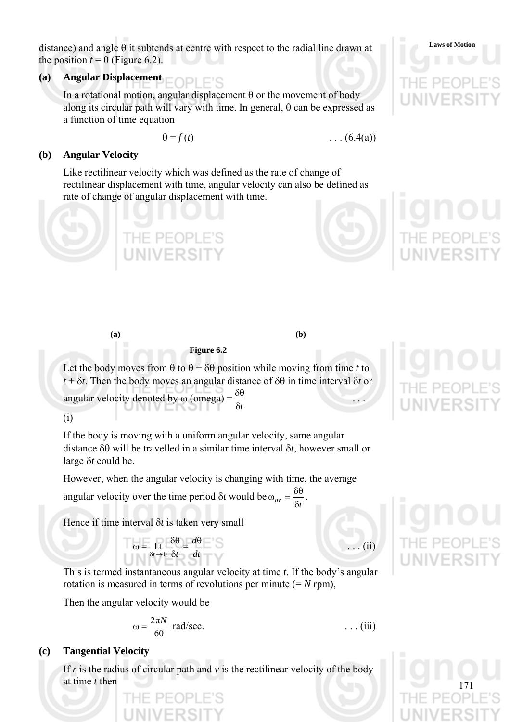**Laws of Motion** distance) and angle θ it subtends at centre with respect to the radial line drawn at the position  $t = 0$  (Figure 6.2).

### **(a) Angular Displacement**

In a rotational motion, angular displacement θ or the movement of body along its circular path will vary with time. In general,  $\theta$  can be expressed as a function of time equation

$$
\theta = f(t)
$$

 $f(6.4(a))$ 

### **(b) Angular Velocity**

Like rectilinear velocity which was defined as the rate of change of rectilinear displacement with time, angular velocity can also be defined as rate of change of angular displacement with time.





 $\ldots$  (ii)

 $\ldots$  (iii)

**(a) (b)** 

### **Figure 6.2**

Let the body moves from  $\theta$  to  $\theta$  +  $\delta\theta$  position while moving from time *t* to *t* + δ*t*. Then the body moves an angular distance of δθ in time interval δ*t* or  $\frac{\delta \theta}{\delta}$  .

angular velocity denoted by  $\omega$  (omega) =  $\frac{\delta \theta}{\sigma}$ 

(i)

If the body is moving with a uniform angular velocity, same angular distance δθ will be travelled in a similar time interval δ*t*, however small or large δ*t* could be.

However, when the angular velocity is changing with time, the average

angular velocity over the time period  $\delta t$  would be  $\omega_{av} = \frac{\delta t}{\delta t}$  $\omega_{av} = \frac{\delta \theta}{\delta}$ .

Hence if time interval δ*t* is taken very small

$$
\omega = \text{Lt} \frac{\delta \theta}{\delta t} = \frac{d\theta}{dt}
$$

This is termed instantaneous angular velocity at time *t*. If the body's angular rotation is measured in terms of revolutions per minute  $(= N \text{ rpm})$ ,

Then the angular velocity would be

$$
\omega = \frac{2\pi N}{60} \text{ rad/sec.}
$$

### **(c) Tangential Velocity**

If  $r$  is the radius of circular path and  $v$  is the rectilinear velocity of the body at time *t* then

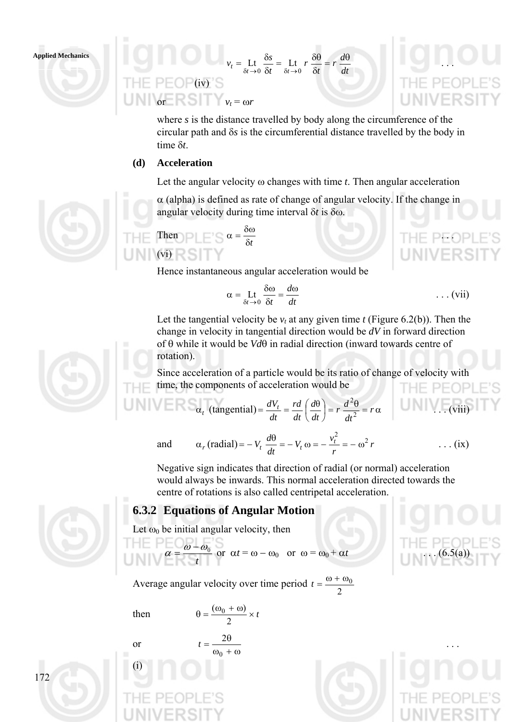

*dt d r t r t*  $v_t = \text{Lt} \frac{\delta s}{\delta t - \delta s} = \text{Lt} \cdot r \frac{\delta \theta}{\delta t} = r \frac{d\theta}{dt}$  $F = P F \cap P$ (iv) S or  $\mathbb{R} \subseteq \mathbb{R}$   $v_t = \omega r$ 

where *s* is the distance travelled by body along the circumference of the circular path and δ*s* is the circumferential distance travelled by the body in time δ*t*.

### **(d) Acceleration**

Let the angular velocity ω changes with time *t*. Then angular acceleration

 $\alpha$  (alpha) is defined as rate of change of angular velocity. If the change in angular velocity during time interval δ*t* is δω.



Hence instantaneous angular acceleration would be

$$
\alpha = \text{Lt} \frac{\delta \omega}{\delta t} = \frac{d\omega}{dt} \qquad \qquad \dots \text{ (vii)}
$$

Let the tangential velocity be  $v_t$  at any given time *t* (Figure 6.2(b)). Then the change in velocity in tangential direction would be *dV* in forward direction of θ while it would be *Vd*θ in radial direction (inward towards centre of rotation).

Since acceleration of a particle would be its ratio of change of velocity with time, the components of acceleration would be THE PEOP

$$
\alpha_t \text{ (tangential)} = \frac{dV_t}{dt} = \frac{rd}{dt} \left(\frac{d\theta}{dt}\right) = r \frac{d^2\theta}{dt^2} = r\alpha \qquad \text{(viii)}
$$



Negative sign indicates that direction of radial (or normal) acceleration would always be inwards. This normal acceleration directed towards the centre of rotations is also called centripetal acceleration.

### **6.3.2 Equations of Angular Motion**

Let  $\omega_0$  be initial angular velocity, then

$$
\alpha = \frac{\omega - \omega_0}{t} \text{ or } \alpha t = \omega - \omega_0 \text{ or } \omega = \omega_0 + \alpha t \qquad (6.5(a))
$$

Average angular velocity over time period  $t = \frac{\omega + \omega_0}{2}$ 

or

(i)

then  $\theta = \frac{(\omega_0 + \omega)}{2} \times t$ 2  $(\omega_0 + \omega)$  $\omega_0 + \omega$  $=\frac{2\theta}{\theta}$ 0  $t = \frac{2\theta}{\theta}$  ...





THE PEOP



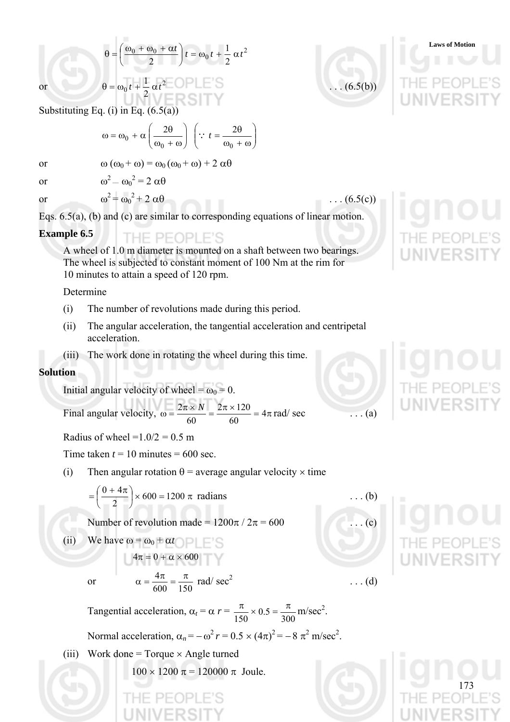$$
\theta = \left(\frac{\omega_0 + \omega_0 + \alpha t}{2}\right)t = \omega_0 t + \frac{1}{2}\alpha t^2
$$
  
or  

$$
\theta = \omega_0 t + \frac{1}{2}\alpha t^2
$$

Substituting Eq. (i) in Eq.  $(6.5(a))$ 

$$
\omega = \omega_0 + \alpha \left( \frac{2\theta}{\omega_0 + \omega} \right) \left( \because t = \frac{2\theta}{\omega_0 + \omega} \right)
$$

or 
$$
\omega (\omega_0 + \omega) = \omega_0 (\omega_0 + \omega) + 2 \alpha \theta
$$
  
or  $\omega^2 - {\omega_0}^2 = 2 \alpha \theta$ 

or  $\omega^2 = \omega_0$ 

Eqs. 6.5(a), (b) and (c) are similar to corresponding equations of linear motion.

### **Example 6.5**  - PFOPL

A wheel of 1.0 m diameter is mounted on a shaft between two bearings. The wheel is subjected to constant moment of 100 Nm at the rim for 10 minutes to attain a speed of 120 rpm.

Determine

- (i) The number of revolutions made during this period.
- (ii) The angular acceleration, the tangential acceleration and centripetal acceleration.
- (iii) The work done in rotating the wheel during this time.

### **Solution**

Initial angular velocity of wheel =  $\omega_0$  = 0.

Final angular velocity,  $\omega = \frac{2\pi \times N}{\epsilon_0} = \frac{2\pi \times 120}{\epsilon_0} = 4\pi$ 60  $2\pi \times 120$ 60  $\frac{2\pi \times N}{\sigma} = \frac{2\pi \times 120}{\sigma} = 4\pi \text{ rad/sec}$  ... (a)

Radius of wheel  $=1.0/2 = 0.5$  m

Time taken  $t = 10$  minutes  $= 600$  sec.

(i) Then angular rotation  $\theta$  = average angular velocity  $\times$  time

$$
= \left(\frac{0+4\pi}{2}\right) \times 600 = 1200 \pi \text{ radians}
$$
 ... (b)

Number of revolution made =  $1200\pi / 2\pi = 600$  ... (c)

(ii) We have  $\omega = \omega_0 + \alpha t$  $4\pi=0+\alpha\times600$ 

or

600 150  $\alpha = \frac{4\pi}{\epsilon_0 \epsilon_0} = \frac{\pi}{15\epsilon_0}$  rad/sec<sup>2</sup>

Tangential acceleration,  $\alpha_t = \alpha r = \frac{\pi}{150} \times 0.5 = \frac{\pi}{300}$  $0.5$ 150  $\frac{\pi}{50} \times 0.5 = \frac{\pi}{200}$  m/sec<sup>2</sup>.

Normal acceleration, 
$$
\alpha_n = -\omega^2 r = 0.5 \times (4\pi)^2 = -8 \pi^2
$$
 m/sec<sup>2</sup>.

(iii) Work done = Torque  $\times$  Angle turned

 $100 \times 1200 \pi = 120000 \pi$  Joule.



 $\ldots$  (d)



173



 $2 \ldots (6.5(c))$ 

**Laws of Motion**

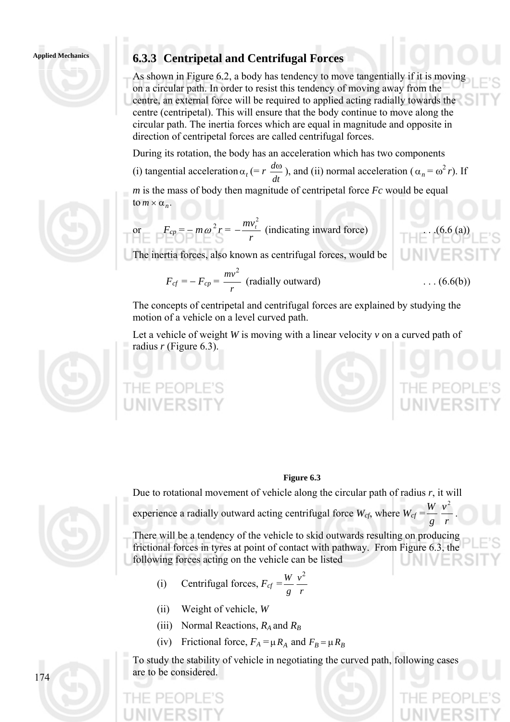

As shown in Figure 6.2, a body has tendency to move tangentially if it is moving on a circular path. In order to resist this tendency of moving away from the centre, an external force will be required to applied acting radially towards the centre (centripetal). This will ensure that the body continue to move along the circular path. The inertia forces which are equal in magnitude and opposite in direction of centripetal forces are called centrifugal forces.

During its rotation, the body has an acceleration which has two components

(i) tangential acceleration  $\alpha_t$  (= *r*  $\frac{d\omega}{dt}$ ), and (ii) normal acceleration ( $\alpha_n = \omega^2 r$ ). If

*m* is the mass of body then magnitude of centripetal force *Fc* would be equal  $\tan \times \alpha_n$ .

or 
$$
F_{cp} = -m\omega^2 r = -\frac{mv_t^2}{r}
$$
 (indicating inward force) (6.6 (a))

The inertia forces, also known as centrifugal forces, would be

$$
F_{cf} = -F_{cp} = \frac{mv^2}{r}
$$
 (radially outward) \t\t(6.6(b))

The concepts of centripetal and centrifugal forces are explained by studying the motion of a vehicle on a level curved path.

Let a vehicle of weight *W* is moving with a linear velocity  $\nu$  on a curved path of radius *r* (Figure 6.3).



### **Figure 6.3**



Due to rotational movement of vehicle along the circular path of radius *r*, it will

experience a radially outward acting centrifugal force  $W_{cf}$ , where  $W_{cf} = \frac{W}{g} \frac{v^2}{r^2}$ *g*  $\frac{W}{2} \frac{v^2}{2}$ .

There will be a tendency of the vehicle to skid outwards resulting on producing frictional forces in tyres at point of contact with pathway. From Figure 6.3, the following forces acting on the vehicle can be listed

- (i) Centrifugal forces,  $F_{cf} = \frac{W}{g} \frac{V}{r}$ *v g*  $W v^2$
- (ii) Weight of vehicle, *W*
- (iii) Normal Reactions,  $R_A$  and  $R_B$
- (iv) Frictional force,  $F_A = \mu R_A$  and  $F_B = \mu R_B$

To study the stability of vehicle in negotiating the curved path, following cases are to be considered.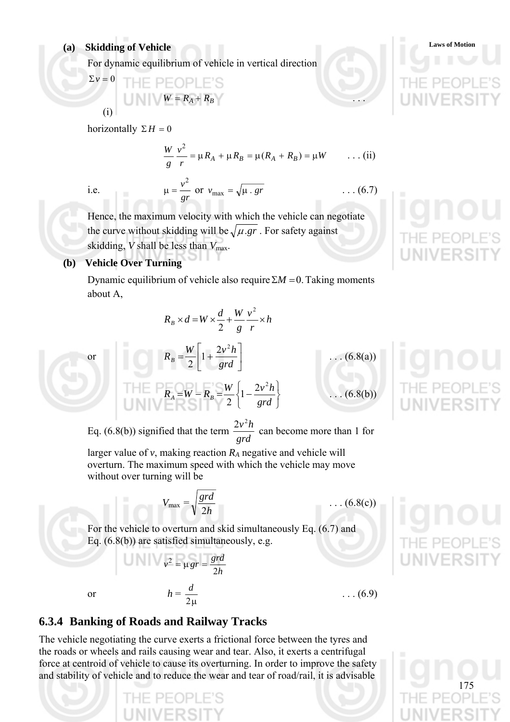For dynamic equilibrium of vehicle in vertical direction

*gr*

$$
v = 0
$$
  
\n
$$
W = R_A + R_B
$$
  
\n(i)

horizontally  $\Sigma H = 0$ 

$$
\frac{W}{g} \frac{v^2}{r} = \mu R_A + \mu R_B = \mu (R_A + R_B) = \mu W \qquad \dots (ii)
$$
  
i.e. 
$$
\mu = \frac{v^2}{r} \text{ or } v_{\text{max}} = \sqrt{\mu \cdot gr} \qquad \dots (6.7)
$$

 $\sum$   $\sum$ 

Hence, the maximum velocity with which the vehicle can negotiate the curve without skidding will be  $\sqrt{\mu_{\text{g}}r}$ . For safety against skidding, *V* shall be less than  $V_{\text{max}}$ .

### **(b) Vehicle Over Turning**

Dynamic equilibrium of vehicle also require  $\Sigma M = 0$ . Taking moments about A,

$$
R_B \times d = W \times \frac{d}{2} + \frac{W}{g} \frac{v^2}{r} \times h
$$

 $\left|1+\frac{2v^2h}{\omega d}\right|$ 

 $R_A = W - R_B = \frac{W}{2} \left\{ 1 - \frac{2v^2h}{grd} \right\}$ 

լ

 $\mathsf L$  $=\frac{V}{R}$ | 1+  $R_B = \frac{W}{2} \left( 1 + \frac{2v^2 h}{grd} \right)$ 

or 
$$
R_B = \frac{W}{2} \left[ 1 + \frac{2V^2 h}{grd} \right]
$$
  

 $\frac{1}{2}$   $\left|1+\frac{2v}{grd}\right|$  ... (6.8(a))  $\frac{1}{2}$  $\left\{1-\frac{2v}{grd}\right\}$  ... (6.8(b))

 $(6.8(c))$ 

Eq. (6.8(b)) signified that the term  $\frac{2v^2h}{grd}$  can become more than 1 for

⎦

 $\overline{a}$ 

⎭  $\left\{ \right\}$  $\vert$ 

larger value of  $v$ , making reaction  $R_A$  negative and vehicle will overturn. The maximum speed with which the vehicle may move without over turning will be

$$
V_{\text{max}} = \sqrt{\frac{grd}{2h}}
$$

For the vehicle to overturn and skid simultaneously Eq. (6.7) and Eq. (6.8(b)) are satisfied simultaneously, e.g.

$$
v^2 = \mu \, gr = \frac{grd}{2h}
$$

2μ

 $\dots (6.9)$ 

### **6.3.4 Banking of Roads and Railway Tracks**

or  $h =$ 

The vehicle negotiating the curve exerts a frictional force between the tyres and the roads or wheels and rails causing wear and tear. Also, it exerts a centrifugal force at centroid of vehicle to cause its overturning. In order to improve the safety and stability of vehicle and to reduce the wear and tear of road/rail, it is advisable



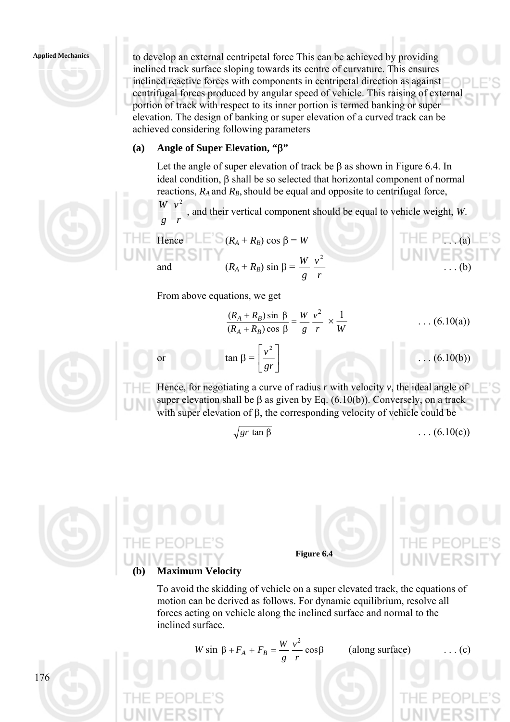### **Applied Mechanics**

to develop an external centripetal force This can be achieved by providing inclined track surface sloping towards its centre of curvature. This ensures inclined reactive forces with components in centripetal direction as against centrifugal forces produced by angular speed of vehicle. This raising of external portion of track with respect to its inner portion is termed banking or super elevation. The design of banking or super elevation of a curved track can be achieved considering following parameters

### **(a) Angle of Super Elevation, "**β**"**

Let the angle of super elevation of track be  $\beta$  as shown in Figure 6.4. In ideal condition, β shall be so selected that horizontal component of normal reactions,  $R_A$  and  $R_B$ , should be equal and opposite to centrifugal force,

*r v g*  $W v^2$ , and their vertical component should be equal to vehicle weight, *W*.

Hence PLE 
$$
(R_A + R_B) \cos \beta = W
$$
  
and  $(R_A + R_B) \sin \beta = \frac{W}{g} \frac{v^2}{r}$ ...(b)

From above equations, we get

or  $\tan \beta = \left| \frac{V}{\alpha r} \right|$ 

$$
\frac{(R_A + R_B)\sin \beta}{(R_A + R_B)\cos \beta} = \frac{W}{g} \frac{v^2}{r} \times \frac{1}{W}
$$
 ... (6.10(a))



176

⎦ ⎣ *gr* Hence, for negotiating a curve of radius *r* with velocity *v*, the ideal angle of super elevation shall be  $\beta$  as given by Eq. (6.10(b)). Conversely, on a track with super elevation of β, the corresponding velocity of vehicle could be

$$
\sqrt{gr \tan \beta}
$$

 $\left|\frac{v^2}{\sqrt{u}}\right|$ 

*v* 2

 $\mathsf{L}$ 

 $f(x) = (6.10(c))$ 

 $(6.10(b))$ 





### **(b) Maximum Velocity**

To avoid the skidding of vehicle on a super elevated track, the equations of motion can be derived as follows. For dynamic equilibrium, resolve all forces acting on vehicle along the inclined surface and normal to the inclined surface.

$$
W \sin \beta + F_A + F_B = \frac{W}{g} \frac{v^2}{r} \cos \beta
$$
 (along surface) ... (c)  
THE PEOPLE'S  
THE PEOPLE'S  
THE PEOPLE'S  
INIVEDSITY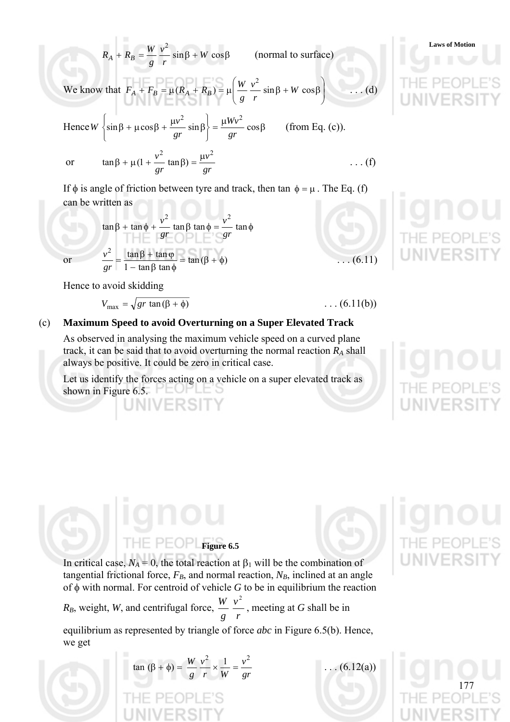$$
R_A + R_B = \frac{W}{g} \frac{v^2}{r} \sin \beta + W \cos \beta \qquad \text{(normal to surface)}
$$
\nWe know that  $F_A + F_B = \mu (R_A + R_B) = \mu \left( \frac{W}{g} \frac{v^2}{r} \sin \beta + W \cos \beta \right)$  ... (d)

\nHence  $W \left\{ \sin \beta + \mu \cos \beta + \frac{\mu v^2}{gr} \sin \beta \right\} = \frac{\mu W v^2}{gr} \cos \beta$  (from Eq. (c)).

\nor  $\tan \beta + \mu (1 + \frac{v^2}{gr} \tan \beta) = \frac{\mu v^2}{gr}$  ... (f)

\nIf  $\phi$  is angle of friction between tyre and track, then  $\tan \phi = \mu$ . The Eq. (f)

\ncan be written as

$$
\tan \beta + \tan \phi + \frac{v^2}{gr} \tan \beta \tan \phi = \frac{v^2}{gr} \tan \phi
$$
  
or 
$$
\frac{v^2}{gr} = \frac{\tan \beta + \tan \phi}{1 - \tan \beta \tan \phi} = \tan (\beta + \phi) \quad ...(6.11)
$$

Hence to avoid skidding

$$
V_{\text{max}} = \sqrt{gr \tan(\beta + \phi)}
$$

### (c) **Maximum Speed to avoid Overturning on a Super Elevated Track**

As observed in analysing the maximum vehicle speed on a curved plane track, it can be said that to avoid overturning the normal reaction  $R_A$  shall always be positive. It could be zero in critical case.

Let us identify the forces acting on a vehicle on a super elevated track as shown in Figure 6.5.  $\Box$ 

 $\ldots$  (6.11(b))

177

# **Figure 6.5**



In critical case,  $N_A = 0$ , the total reaction at  $\beta_1$  will be the combination of tangential frictional force,  $F_B$ , and normal reaction,  $N_B$ , inclined at an angle of φ with normal. For centroid of vehicle *G* to be in equilibrium the reaction

*R<sub>B</sub>*, weight, *W*, and centrifugal force, *r v g*  $\frac{W}{\cdot} \frac{v^2}{\cdot}$ , meeting at *G* shall be in

equilibrium as represented by triangle of force *abc* in Figure 6.5(b). Hence, we get

> $\tan (\beta + φ) =$ *gr v Wr v g W*  $v^2$  1  $v^2$

 $\ldots$  (6.12(a))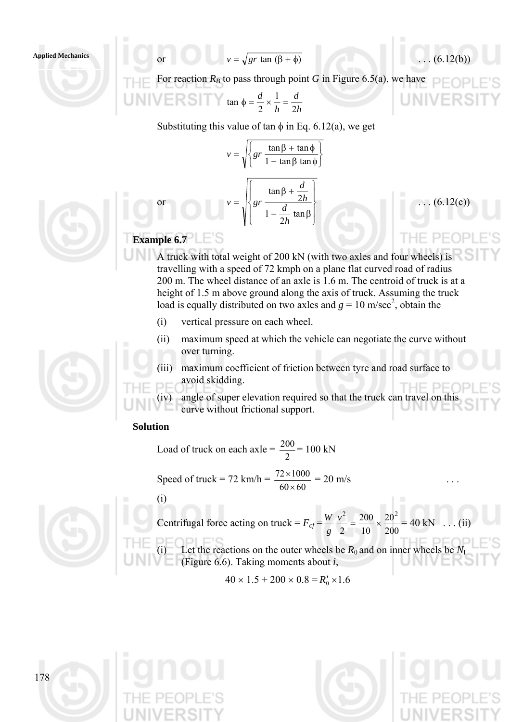**Applied Mechanics** or or  $v = \sqrt{gr \tan (\beta + \phi)}$  (6.12(b))

For reaction  $R_B$  to pass through point G in Figure 6.5(a), we have

UNIV

$$
\text{MIVE} \quad \text{S} \quad \text{tan} \quad \phi = \frac{d}{2} \times \frac{1}{h} = \frac{d}{2h}
$$

Substituting this value of tan  $\phi$  in Eq. 6.12(a), we get

$$
v = \sqrt{\left\{gr \frac{\tan \beta + \tan \phi}{1 - \tan \beta \tan \phi}\right\}}
$$

$$
v = \sqrt{\left\{gr \frac{\tan \beta + \frac{d}{2h}}{1 - \frac{d}{2h} \tan \beta}\right\}}
$$
(6.12(c))



or

- A truck with total weight of 200 kN (with two axles and four wheels) is travelling with a speed of 72 kmph on a plane flat curved road of radius 200 m. The wheel distance of an axle is 1.6 m. The centroid of truck is at a height of 1.5 m above ground along the axis of truck. Assuming the truck load is equally distributed on two axles and  $g = 10$  m/sec<sup>2</sup>, obtain the
	- (i) vertical pressure on each wheel.
	- (ii) maximum speed at which the vehicle can negotiate the curve without over turning.
	- (iii) maximum coefficient of friction between tyre and road surface to avoid skidding.

(iv) angle of super elevation required so that the truck can travel on this curve without frictional support.

### **Solution**

Load of truck on each axle = 2  $\frac{200}{2} = 100 \text{ kN}$ 

Speed of truck = 72 km/h =  $\frac{72 \times 1000}{60 \times 60}$ ×  $\frac{\times 1000}{\text{s}} = 20 \text{ m/s}$  ...  $\overline{a}$ 



| Centrifugal force acting on truck = $F_{cf} = \frac{W}{g} \frac{v^2}{2} = \frac{200}{10} \times \frac{20^2}{200} = 40 \text{ kN} \dots (ii)$ |
|----------------------------------------------------------------------------------------------------------------------------------------------|
| Let the reactions on the outer wheels be $R_0$ and on inner wheels be $N_I$<br>(Figure 6.6). Taking moments about $i$ ,                      |

$$
40 \times 1.5 + 200 \times 0.8 = R'_0 \times 1.6
$$

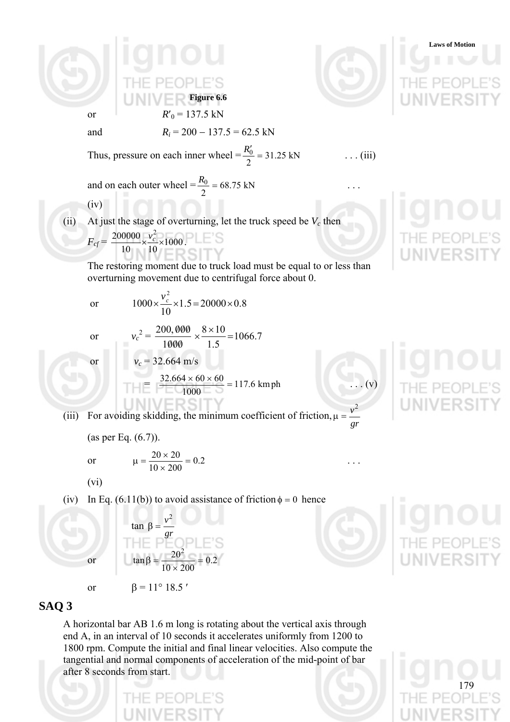

### **SAQ 3**

A horizontal bar AB 1.6 m long is rotating about the vertical axis through end A, in an interval of 10 seconds it accelerates uniformly from 1200 to 1800 rpm. Compute the initial and final linear velocities. Also compute the tangential and normal components of acceleration of the mid-point of bar after 8 seconds from start.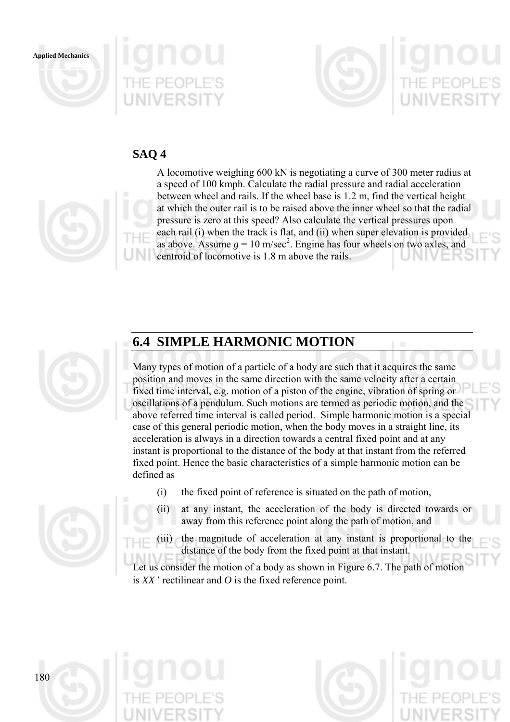





### **SAQ 4**



A locomotive weighing 600 kN is negotiating a curve of 300 meter radius at a speed of 100 kmph. Calculate the radial pressure and radial acceleration between wheel and rails. If the wheel base is 1.2 m, find the vertical height at which the outer rail is to be raised above the inner wheel so that the radial pressure is zero at this speed? Also calculate the vertical pressures upon each rail (i) when the track is flat, and (ii) when super elevation is provided as above. Assume  $g = 10$  m/sec<sup>2</sup>. Engine has four wheels on two axles, and centroid of locomotive is 1.8 m above the rails.



# **6.4 SIMPLE HARMONIC MOTION**

Many types of motion of a particle of a body are such that it acquires the same position and moves in the same direction with the same velocity after a certain fixed time interval, e.g. motion of a piston of the engine, vibration of spring or oscillations of a pendulum. Such motions are termed as periodic motion, and the above referred time interval is called period. Simple harmonic motion is a special case of this general periodic motion, when the body moves in a straight line, its acceleration is always in a direction towards a central fixed point and at any instant is proportional to the distance of the body at that instant from the referred fixed point. Hence the basic characteristics of a simple harmonic motion can be defined as

- (i) the fixed point of reference is situated on the path of motion,
- (ii) at any instant, the acceleration of the body is directed towards or away from this reference point along the path of motion, and
- (iii) the magnitude of acceleration at any instant is proportional to the distance of the body from the fixed point at that instant.

Let us consider the motion of a body as shown in Figure 6.7. The path of motion is *XX* ′ rectilinear and *O* is the fixed reference point.

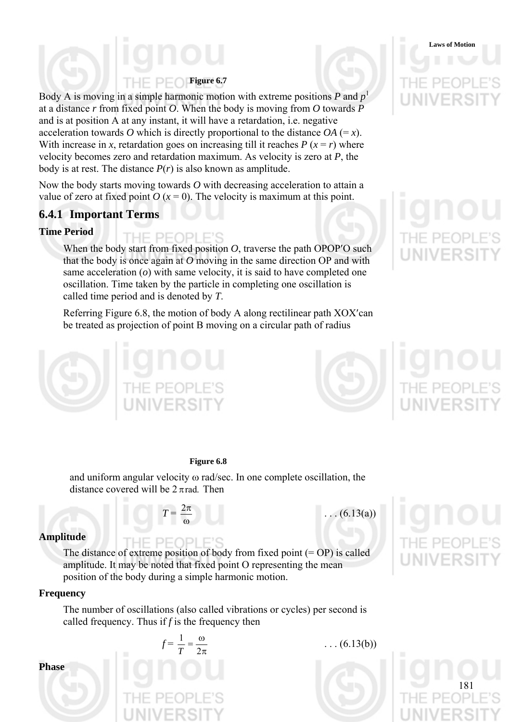# **Figure 6.7**

Body A is moving in a simple harmonic motion with extreme positions  $P$  and  $p<sup>1</sup>$ at a distance *r* from fixed point *O*. When the body is moving from *O* towards *P* and is at position A at any instant, it will have a retardation, i.e. negative acceleration towards *O* which is directly proportional to the distance  $OA (= x)$ . With increase in *x*, retardation goes on increasing till it reaches  $P(x = r)$  where velocity becomes zero and retardation maximum. As velocity is zero at *P*, the body is at rest. The distance  $P(r)$  is also known as amplitude.

Now the body starts moving towards *O* with decreasing acceleration to attain a value of zero at fixed point  $O(x=0)$ . The velocity is maximum at this point.

### **6.4.1 Important Terms**

### **Time Period**

THE PEOPLE'S When the body start from fixed position *O*, traverse the path OPOP'O such that the body is once again at *O* moving in the same direction OP and with same acceleration (*o*) with same velocity, it is said to have completed one oscillation. Time taken by the particle in completing one oscillation is called time period and is denoted by *T*.

Referring Figure 6.8, the motion of body A along rectilinear path XOX′can be treated as projection of point B moving on a circular path of radius



### **Figure 6.8**

and uniform angular velocity ω rad/sec. In one complete oscillation, the distance covered will be  $2 \pi$  rad. Then

### *T* = ω

 $\ldots$  (6.13(a))

### **Amplitude**

HE PEOPLE'S The distance of extreme position of body from fixed point  $(=OP)$  is called amplitude. It may be noted that fixed point O representing the mean position of the body during a simple harmonic motion.

### **Frequency**

The number of oscillations (also called vibrations or cycles) per second is called frequency. Thus if *f* is the frequency then



 $\ldots$  (6.13(b))



**Laws of Motion**



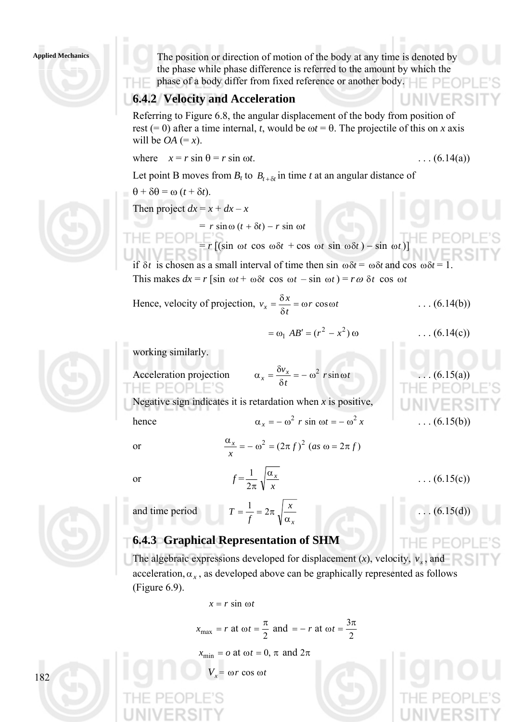### **Applied Mechanics**



### **6.4.2 Velocity and Acceleration**

Referring to Figure 6.8, the angular displacement of the body from position of rest (= 0) after a time internal, *t*, would be  $\omega t = \theta$ . The projectile of this on *x* axis will be  $OA (= x)$ .

where 
$$
x = r \sin \theta = r \sin \omega t
$$
. (6.14(a))

Let point B moves from  $B_t$  to  $B_{t+\delta t}$  in time *t* at an angular distance of

 $\theta + \delta \theta = \omega (t + \delta t).$ Then project  $dx = x + dx - x$  $= r \sin \omega (t + \delta t) - r \sin \omega t$  $= r \left[ (\sin \omega t \cos \omega \delta t + \cos \omega t \sin \omega \delta t) - \sin \omega t \right]$ if  $\delta t$  is chosen as a small interval of time then sin  $\omega \delta t = \omega \delta t$  and cos  $\omega \delta t = 1$ . This makes  $dx = r \left[\sin \omega t + \omega \delta t \cos \omega t - \sin \omega t\right] = r \omega \delta t \cos \omega t$ Hence, velocity of projection,  $v_x = \frac{\sigma x}{\sigma} = \omega r \cos \omega t$ *t*  $v_x = \frac{\delta x}{\delta t} = \omega r \cos \omega$  $=\frac{\delta x}{\delta} = \omega r \cos \omega t$  ... (6.14(b))  $= \omega_1 AB' = (r^2 - x^2) \omega$  . . . (6.14(c)) working similarly. Acceleration projection  $\alpha_x = \frac{\sigma v_x}{\sigma} = -\omega^2 r \sin \omega t$  $\alpha_x = \frac{\delta v_x}{\delta t} = -\omega^2 r \sin \omega$  $\alpha_x = \frac{\delta v_x}{\delta x} = -\omega^2 r \sin \omega t$  ... (6.15(a)) Negative sign indicates it is retardation when *x* is positive, hence  $\alpha_x = -\omega^2 r \sin \omega t = -\omega^2 x$  (6.15(b)) or  $\frac{\alpha_x}{\alpha} = -\omega^2 = (2\pi f)^2 (as \omega = 2\pi f)$ *x*  $\frac{\alpha_x}{\alpha} = -\omega^2 = (2\pi f)^2$  (as  $\omega = 2\pi$ or  $f =$ *x* α*x* 2π  $\frac{1}{\sqrt{2\pi}}\sqrt{\frac{\alpha_x}{\alpha_x}}$  ... (6.15(c)) *x*  $=\frac{1}{2} = 2\pi \sqrt{\frac{x}{2}}$  ... (6.15(d))



### **6.4.3 Graphical Representation of SHM**

*T*

*f*

and time period

The algebraic expressions developed for displacement  $(x)$ , velocity,  $v_x$ , and acceleration,  $\alpha_x$ , as developed above can be graphically represented as follows (Figure 6.9).

*x*

α

$$
x = r \sin \omega t
$$

$$
x_{\text{max}} = r
$$
 at  $\omega t = \frac{\pi}{2}$  and  $= -r$  at  $\omega t = \frac{3\pi}{2}$ 

 $x_{\text{min}} = \omega$  at  $\omega t = 0$ ,  $\pi$  and  $2\pi$ 

$$
V_x = \omega r \cos \omega t
$$





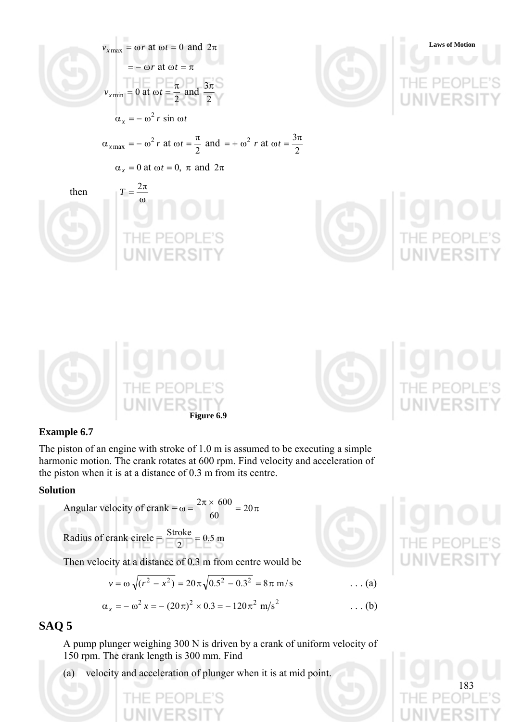

### **Example 6.7**

The piston of an engine with stroke of 1.0 m is assumed to be executing a simple harmonic motion. The crank rotates at 600 rpm. Find velocity and acceleration of the piston when it is at a distance of 0.3 m from its centre.

### **Solution**

Angular velocity of crank =  $\omega = \frac{2\pi \times 600}{60} = 20\pi$ 60  $2\pi\times 600$ 

Radius of crank circle  $= \frac{340 \text{ k}}{1.00 \text{ k}} = 0.5 \text{ m}$ 2  $\frac{\text{Stroke}}{\text{Im } \theta} =$ 

Then velocity at a distance of 0.3 m from centre would be

$$
v = \omega \sqrt{(r^2 - x^2)} = 20\pi \sqrt{0.5^2 - 0.3^2} = 8\pi \text{ m/s}
$$
 ... (a)

$$
\alpha_x = -\omega^2 \, x = -(20\,\pi)^2 \times 0.3 = -120\,\pi^2 \, \text{m/s}^2 \tag{b}
$$

### **SAQ 5**

A pump plunger weighing 300 N is driven by a crank of uniform velocity of 150 rpm. The crank length is 300 mm. Find

(a) velocity and acceleration of plunger when it is at mid point.

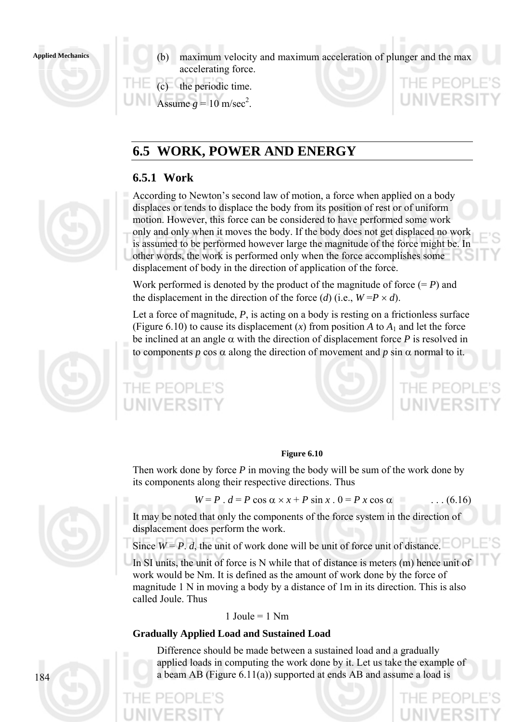

**Applied Mechanics** (b) maximum velocity and maximum acceleration of plunger and the max accelerating force.

> (c) the periodic time. Assume  $g = 10$  m/sec<sup>2</sup>.

# **6.5 WORK, POWER AND ENERGY**

### **6.5.1 Work**



According to Newton's second law of motion, a force when applied on a body displaces or tends to displace the body from its position of rest or of uniform motion. However, this force can be considered to have performed some work only and only when it moves the body. If the body does not get displaced no work is assumed to be performed however large the magnitude of the force might be. In other words, the work is performed only when the force accomplishes some displacement of body in the direction of application of the force.

Work performed is denoted by the product of the magnitude of force  $(= P)$  and the displacement in the direction of the force (*d*) (i.e.,  $W = P \times d$ ).

Let a force of magnitude, P, is acting on a body is resting on a frictionless surface (Figure 6.10) to cause its displacement  $(x)$  from position *A* to  $A_1$  and let the force be inclined at an angle  $\alpha$  with the direction of displacement force *P* is resolved in to components *p* cos  $\alpha$  along the direction of movement and *p* sin  $\alpha$  normal to it.



PEOPLE

### **Figure 6.10**

Then work done by force *P* in moving the body will be sum of the work done by its components along their respective directions. Thus

$$
W = P \cdot d = P \cos \alpha \times x + P \sin x \cdot 0 = P x \cos \alpha \quad \dots (6.16)
$$

'HE PEOPI

It may be noted that only the components of the force system in the direction of displacement does perform the work.

Since  $W = P$ . *d*, the unit of work done will be unit of force unit of distance.

In SI units, the unit of force is N while that of distance is meters (m) hence unit of work would be Nm. It is defined as the amount of work done by the force of magnitude 1 N in moving a body by a distance of 1m in its direction. This is also called Joule. Thus

1 Joule =  $1$  Nm

### **Gradually Applied Load and Sustained Load**

Difference should be made between a sustained load and a gradually applied loads in computing the work done by it. Let us take the example of a beam AB (Figure 6.11(a)) supported at ends AB and assume a load is

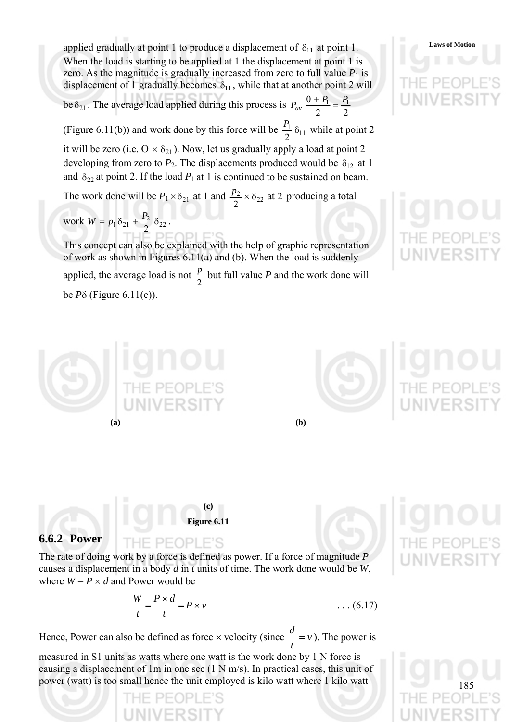applied gradually at point 1 to produce a displacement of  $\delta_{11}$  at point 1. Laws of Motion When the load is starting to be applied at 1 the displacement at point 1 is zero. As the magnitude is gradually increased from zero to full value  $P_1$  is displacement of 1 gradually becomes  $\delta_{11}$ , while that at another point 2 will be  $\delta_{21}$ . The average load applied during this process is  $P_{av} \frac{0+P_1}{2} = \frac{P_1}{2}$ 

(Figure 6.11(b)) and work done by this force will be  $\frac{r_1}{2} \delta_{11}$ 2  $\frac{P_1}{2}$   $\delta_{11}$  while at point 2

it will be zero (i.e.  $O \times \delta_{21}$ ). Now, let us gradually apply a load at point 2 developing from zero to  $P_2$ . The displacements produced would be  $\delta_{12}$  at 1 and  $\delta_{22}$  at point 2. If the load  $P_1$  at 1 is continued to be sustained on beam.

The work done will be  $P_1 \times \delta_{21}$  at 1 and  $\frac{p_2}{2} \times \delta_{22}$  at 2 producing a total

work  $W = p_1 \delta_{21} + \frac{r_2}{2} \delta_{22}$  $W = p_1 \delta_{21} + \frac{P_2}{2} \delta_{22}$ .

This concept can also be explained with the help of graphic representation of work as shown in Figures 6.11(a) and (b). When the load is suddenly applied, the average load is not  $\frac{p}{2}$  but full value *P* and the work done will be *P*δ (Figure 6.11(c)).







The rate of doing work by a force is defined as power. If a force of magnitude *P* causes a displacement in a body *d* in *t* units of time. The work done would be *W*, where  $W = P \times d$  and Power would be

$$
\frac{W}{t} = \frac{P \times d}{t} = P \times v \tag{6.17}
$$

Hence, Power can also be defined as force  $\times$  velocity (since  $\frac{u}{v} = v$ *t*  $\frac{d}{dx} = v$ ). The power is

measured in S1 units as watts where one watt is the work done by 1 N force is causing a displacement of 1m in one sec (1 N m/s). In practical cases, this unit of power (watt) is too small hence the unit employed is kilo watt where 1 kilo watt



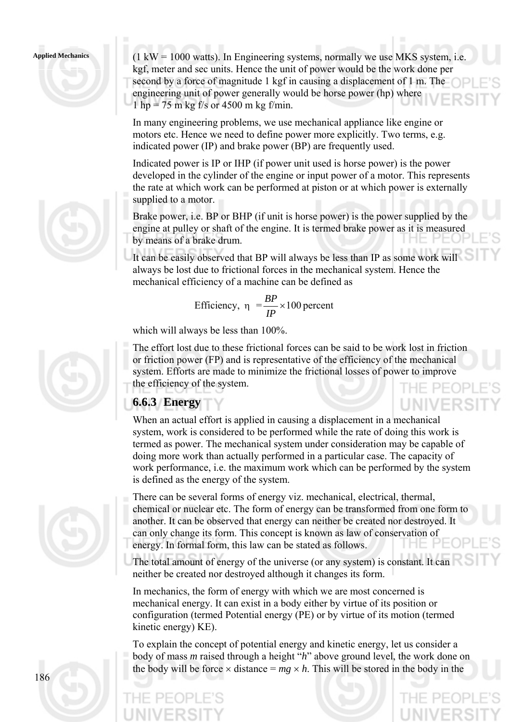### **Applied Mechanics**









 $(1 \text{ kW} = 1000 \text{ watts})$ . In Engineering systems, normally we use MKS system, i.e. kgf, meter and sec units. Hence the unit of power would be the work done per second by a force of magnitude 1 kgf in causing a displacement of 1 m. The engineering unit of power generally would be horse power (hp) where 1 hp = 75 m kg f/s or 4500 m kg f/min.

In many engineering problems, we use mechanical appliance like engine or motors etc. Hence we need to define power more explicitly. Two terms, e.g. indicated power (IP) and brake power (BP) are frequently used.

Indicated power is IP or IHP (if power unit used is horse power) is the power developed in the cylinder of the engine or input power of a motor. This represents the rate at which work can be performed at piston or at which power is externally supplied to a motor.

Brake power, i.e. BP or BHP (if unit is horse power) is the power supplied by the engine at pulley or shaft of the engine. It is termed brake power as it is measured by means of a brake drum.

It can be easily observed that BP will always be less than IP as some work will always be lost due to frictional forces in the mechanical system. Hence the mechanical efficiency of a machine can be defined as

Efficiency, 
$$
\eta = \frac{BP}{IP} \times 100
$$
 percent

which will always be less than 100%.

The effort lost due to these frictional forces can be said to be work lost in friction or friction power (FP) and is representative of the efficiency of the mechanical system. Efforts are made to minimize the frictional losses of power to improve the efficiency of the system.

# **6.6.3 Energy**

When an actual effort is applied in causing a displacement in a mechanical system, work is considered to be performed while the rate of doing this work is termed as power. The mechanical system under consideration may be capable of doing more work than actually performed in a particular case. The capacity of work performance, i.e. the maximum work which can be performed by the system is defined as the energy of the system.

- There can be several forms of energy viz. mechanical, electrical, thermal, chemical or nuclear etc. The form of energy can be transformed from one form to another. It can be observed that energy can neither be created nor destroyed. It can only change its form. This concept is known as law of conservation of energy. In formal form, this law can be stated as follows.
- The total amount of energy of the universe (or any system) is constant. It can neither be created nor destroyed although it changes its form.

In mechanics, the form of energy with which we are most concerned is mechanical energy. It can exist in a body either by virtue of its position or configuration (termed Potential energy (PE) or by virtue of its motion (termed kinetic energy) KE).

To explain the concept of potential energy and kinetic energy, let us consider a body of mass *m* raised through a height "*h*" above ground level, the work done on the body will be force  $\times$  distance =  $mg \times h$ . This will be stored in the body in the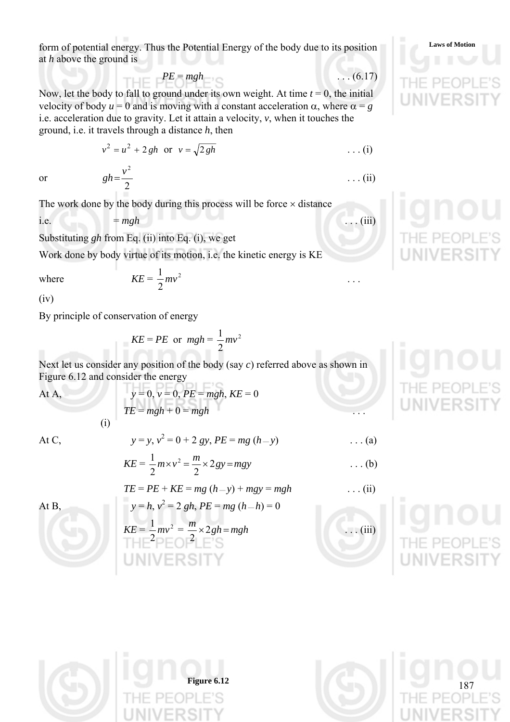form of potential energy. Thus the Potential Energy of the body due to its position **Laws** of Motion at *h* above the ground is

$$
PE = mgh
$$

Now, let the body to fall to ground under its own weight. At time  $t = 0$ , the initial velocity of body  $u = 0$  and is moving with a constant acceleration  $\alpha$ , where  $\alpha = g$ i.e. acceleration due to gravity. Let it attain a velocity, *v*, when it touches the ground, i.e. it travels through a distance *h*, then

$$
v^2 = u^2 + 2gh
$$
 or  $v = \sqrt{2gh}$  ... (i)

 $gh = \frac{v^2}{2}$  ... (ii)

or

The work done by the body during this process will be force  $\times$  distance

Substituting *gh* from Eq. (ii) into Eq. (i), we get

Work done by body virtue of its motion, i.e. the kinetic energy is KE

2 1

 $(iv)$ 

By principle of conservation of energy

where  $KE = \frac{1}{2}mv^2$ 

(i)

$$
KE = PE \text{ or } mgh = \frac{1}{2}mv^2
$$

Next let us consider any position of the body (say *c*) referred above as shown in Figure 6.12 and consider the energy

At A, *y* = 0, *v* = 0, *PE* = *mgh*, *KE* = 0

$$
y = 0, v = 0, PE = mgh, KE = 0
$$
  
TE = mgh + 0 = mgh

At C,

At B, *y* = *h*, *v*

$$
y = y, v2 = 0 + 2 gy, PE = mg (h - y)
$$
 ... (a)

$$
KE = \frac{1}{2}m \times v^2 = \frac{m}{2} \times 2gy = mgy
$$
 ... (b)

$$
TE = PE + KE = mg (h - y) + mgy = mgh
$$
 ... (ii)

$$
y = h, v2 = 2 gh, PE = mg (h-h) = 0
$$
  
\n
$$
KE = \frac{1}{2}mv^{2} = \frac{m}{2} \times 2gh = mgh
$$
 (iii)  
\n
$$
T + E = 2E
$$





$$
mv^2 \qquad \qquad \ldots
$$

 $\cdots$  (6.17)

i.e. 
$$
= mgh
$$
 (iii)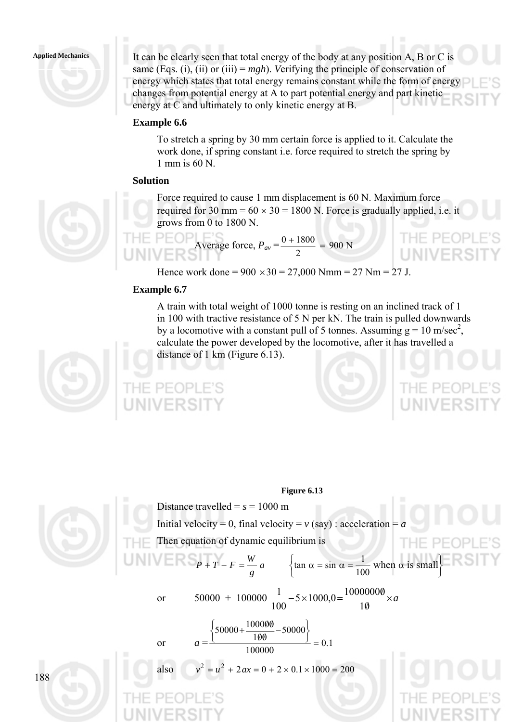

It can be clearly seen that total energy of the body at any position A, B or C is same (Eqs. (i), (ii) or (iii) =  $mgh$ ). *Verifying the principle of conservation of* energy which states that total energy remains constant while the form of energy changes from potential energy at A to part potential energy and part kinetic energy at C and ultimately to only kinetic energy at B.

### **Example 6.6**

To stretch a spring by 30 mm certain force is applied to it. Calculate the work done, if spring constant i.e. force required to stretch the spring by 1 mm is 60 N.

### **Solution**



Force required to cause 1 mm displacement is 60 N. Maximum force required for 30 mm =  $60 \times 30 = 1800$  N. Force is gradually applied, i.e. it grows from 0 to 1800 N.

 $\frac{0+1800}{1}$  =

THE PEOP **LINIVERS** 

Average force,  $P_{av} = \frac{0 + 1000}{2} = 900 \text{ N}$ Hence work done =  $900 \times 30 = 27{,}000$  Nmm = 27 Nm = 27 J.

### **Example 6.7**

**PEOPLE** 

A train with total weight of 1000 tonne is resting on an inclined track of 1 in 100 with tractive resistance of 5 N per kN. The train is pulled downwards by a locomotive with a constant pull of 5 tonnes. Assuming  $g = 10$  m/sec<sup>2</sup>, calculate the power developed by the locomotive, after it has travelled a distance of 1 km (Figure 6.13).





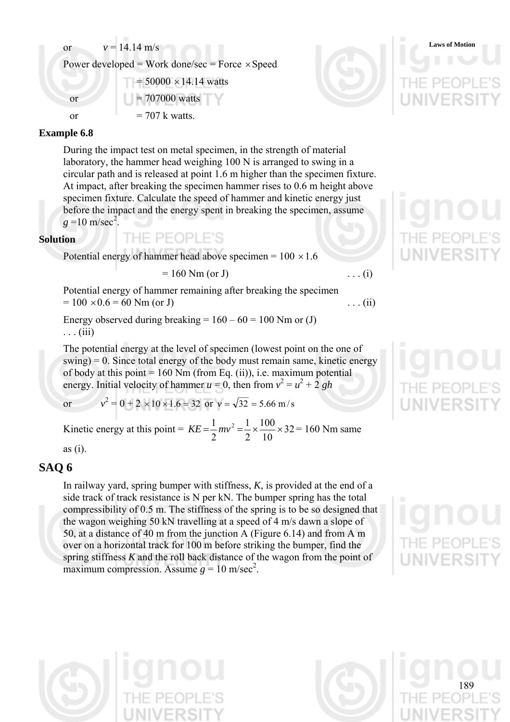or  $v = 14.14 \text{ m/s}$  Laws of Motion

Power developed = Work done/sec = Force  $\times$  Speed

 $= 50000 \times 14.14$  watts or  $= 707000$  watts

or  $= 707 \text{ k watts}$ 

### **Example 6.8**

During the impact test on metal specimen, in the strength of material laboratory, the hammer head weighing 100 N is arranged to swing in a circular path and is released at point 1.6 m higher than the specimen fixture. At impact, after breaking the specimen hammer rises to 0.6 m height above specimen fixture. Calculate the speed of hammer and kinetic energy just before the impact and the energy spent in breaking the specimen, assume  $g = 10 \text{ m/sec}^2$ .

### **Solution**

Potential energy of hammer head above specimen =  $100 \times 1.6$ 

THE PEOPLE'S

$$
= 160 \text{ Nm (or J)}
$$
 ... (i)

Potential energy of hammer remaining after breaking the specimen  $= 100 \times 0.6 = 60$  Nm (or J) ... (ii)

Energy observed during breaking =  $160 - 60 = 100$  Nm or (J)  $\ldots$  (iii)

The potential energy at the level of specimen (lowest point on the one of  $swing$  = 0. Since total energy of the body must remain same, kinetic energy of body at this point  $= 160$  Nm (from Eq. (ii)), i.e. maximum potential energy. Initial velocity of hammer  $u = 0$ , then from  $v^2 = u^2 + 2gh$ 

or *v*  $x^2 = 0 + 2 \times 10 \times 1.6 = 32$  or  $v = \sqrt{32} = 5.66$  m/s

Kinetic energy at this point =  $KE = \frac{1}{2}mv^2 = \frac{1}{2} \times \frac{100}{10} \times 32$ 10 100 2 1 2  $KE = \frac{1}{2}mv^2 = \frac{1}{2} \times \frac{100}{10} \times 32 = 160$  Nm same

as (i).

### **SAQ 6**

In railway yard, spring bumper with stiffness, *K*, is provided at the end of a side track of track resistance is N per kN. The bumper spring has the total compressibility of 0.5 m. The stiffness of the spring is to be so designed that the wagon weighing 50 kN travelling at a speed of 4 m/s dawn a slope of 50, at a distance of 40 m from the junction A (Figure 6.14) and from A m over on a horizontal track for 100 m before striking the bumper, find the spring stiffness *K* and the roll back distance of the wagon from the point of maximum compression. Assume  $g = 10$  m/sec<sup>2</sup>.



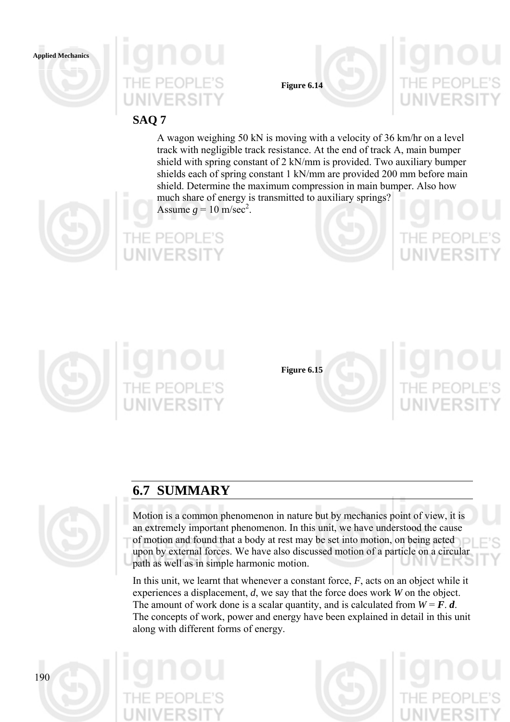



**Figure 6.14** 

## **SAQ 7**

A wagon weighing 50 kN is moving with a velocity of 36 km/hr on a level track with negligible track resistance. At the end of track A, main bumper shield with spring constant of 2 kN/mm is provided. Two auxiliary bumper shields each of spring constant 1 kN/mm are provided 200 mm before main shield. Determine the maximum compression in main bumper. Also how much share of energy is transmitted to auxiliary springs?











**Figure 6.15** 



# **6.7 SUMMARY**



Motion is a common phenomenon in nature but by mechanics point of view, it is an extremely important phenomenon. In this unit, we have understood the cause of motion and found that a body at rest may be set into motion, on being acted upon by external forces. We have also discussed motion of a particle on a circular path as well as in simple harmonic motion.

In this unit, we learnt that whenever a constant force, *F*, acts on an object while it experiences a displacement, *d*, we say that the force does work *W* on the object. The amount of work done is a scalar quantity, and is calculated from  $W = F \cdot d$ . The concepts of work, power and energy have been explained in detail in this unit along with different forms of energy.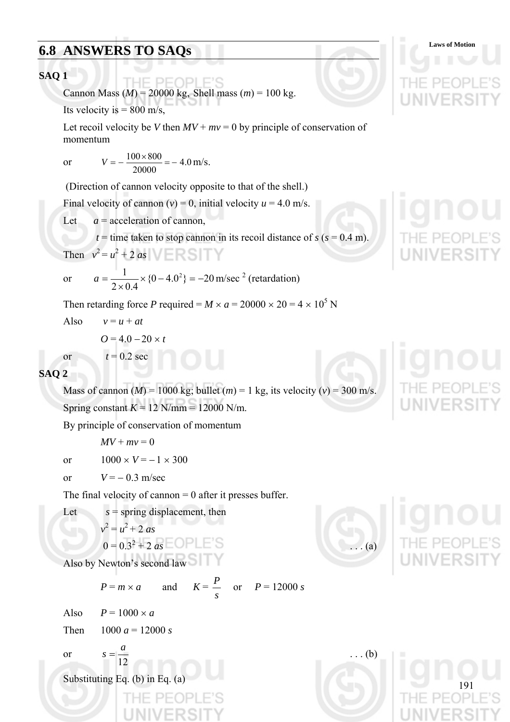# **6.8 ANSWERS TO SAQs** Laws of Motion

**84Q 1**  
\nCannon Mass (M) = 20000 kg, Shell mass (m) = 100 kg.  
\nIts velocity is = 800 m/s.  
\nLet 
$$
q = 100 \times 800
$$
  
\nmomentum  
\nor  $V = -\frac{100 \times 800}{20000} = -4.0 \text{ m/s}$ .  
\n(Direction of cannot  $V = 0$ , initial velocity) = 4.0 m/s.  
\n(Direction of cannot  $V = 0$ , initial velocity  $u = 4.0$  m/s.  
\nLet  $a =$  acceleration of cannot,  $t = 100$  m/s = 1000 kg.  
\nThen  $v^2 = u^2 + 2$   $2a^2 + 2a^2$   $\sqrt{B}$   $\sqrt{B}$   $\sqrt{B}$   
\nor  $a = \frac{1}{2 \times 0.4} \times (0 - 4.0^2) = -20$  m/sec<sup>2</sup> (retraction)  
\nThen retarding force *P* required =  $M \times a = 20000 \times 20 = 4 \times 10^5$  N  
\nAlso  $v = u + at$   
\n $0 = 4.0 - 20 \times t$   
\n $t = 0.2$  sec  
\n**84Q 2**  
\nMass of cannot  $(M) = 1000$  kg, bold ( $m$ ) = 1 kg, its velocity ( $v$ ) = 300 m/s.  
\nThus of the denominator of the denominator.  
\n $Mv + mv = 0$   
\nor  $1000 \times V = -1 \times 300$   
\nor  $V = -0.3$  m/sec  
\nThe final velocity of cannot - 0 after it presses buffer.  
\nLet  $s =$  spring displacement, then  
\n $v^2 = u^2 + 2as$   
\n $0 = 0.3^2 + 2as =$  OPLES  
\nAlso by Newton's second law  
\n $P = m \times a$  and  $K = \frac{P}{s}$  or  $P = 12000$  s  
\nor  $s = \frac{a}{12}$   
\nSubstituting Eq. (b) in Eq. (a)  
\n $\frac{191}{111} \text{E } \text{PEOP1} \text{E}^2 \text{S}$   
\

)PLE'S

Ш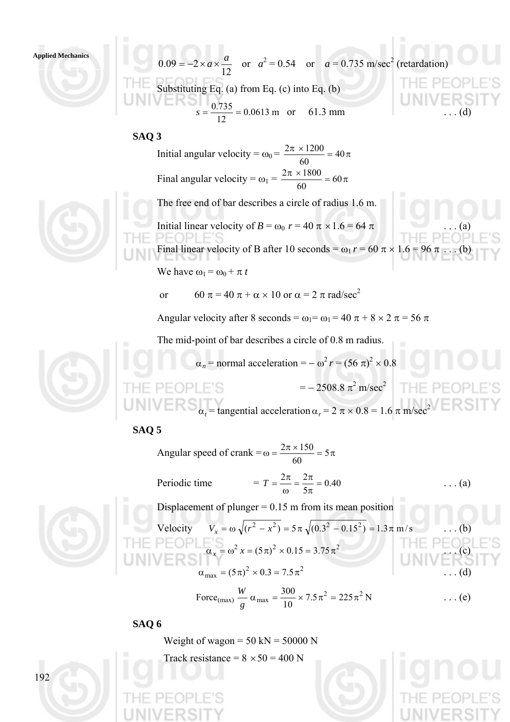### **Applied Mechanics**



### **SAQ 3**

Initial angular velocity =  $\omega_0 = \frac{2\pi \times 1200}{60} = 40\pi$ 60  $2\pi \times 1200$ Final angular velocity =  $\omega_1 = \frac{2\pi \times 1800}{60} = 60\pi$ 60  $2\pi \times 1800$ 

The free end of bar describes a circle of radius 1.6 m.

Initial linear velocity of  $B = \omega_0 r = 40 \pi \times 1.6 = 64 \pi$ 

Final linear velocity of B after 10 seconds =  $\omega_1 r = 60 \pi \times 1.6$ 

We have  $\omega_1 = \omega_0 + \pi t$ 

or 60  $\pi$  = 40  $\pi$  +  $\alpha$  × 10 or  $\alpha$  = 2  $\pi$  rad/sec<sup>2</sup>

Angular velocity after 8 seconds =  $\omega_1 = \omega_1 = 40 \pi + 8 \times 2 \pi = 56 \pi$ 

The mid-point of bar describes a circle of 0.8 m radius.

$$
\alpha_n = \text{normal acceleration} = -\omega^2 r = (56 \pi)^2 \times 0.8
$$

$$
= -2508.8 \pi^2 \text{ m/sec}^2
$$

$$
\alpha_t = \text{tangential acceleration } \alpha_r = 2 \pi \times 0.8 = 1.6 \pi \text{ m/sec}^2
$$

### **SAQ 5**

Angular speed of crank =  $\omega = \frac{2\pi \times 150}{50} = 5\pi$ 60  $2\pi \times 150$ Periodic time  $T = T = \frac{2\pi}{I} = \frac{2\pi}{I} = 0.40$  $T = \frac{2\pi}{\omega} = \frac{2\pi}{5\pi} = 0.40$  ... (a) Displacement of plunger  $= 0.15$  m from its mean position  $V_x = \omega \sqrt{(r^2 - x^2)} = 5 \pi \sqrt{(0.3^2 - 0.15^2)} = 1.3 \pi \text{ m/s}$  $\alpha_x = \omega^2 x = (5\pi)^2 \times 0.15 = 3.75\pi^2$  $\alpha_{\text{max}} = (5\pi)^2 \times 0.3 = 7.5\pi^2$ Force<sub>(max)</sub>  $\frac{W}{2} \alpha_{\text{max}} = \frac{300}{10} \times 7.5 \pi^2 = 225 \pi^2 N$ 10 Force<sub>(max)</sub>  $\frac{W}{g}$   $\alpha_{\text{max}} = \frac{300}{10} \times 7.5 \pi^2 = 225 \pi^2$  $\frac{W}{2} \alpha_{\text{max}} = \frac{300}{10} \times 7.5 \pi^2 = 225 \pi^2 N$  ... (e)

### **SAQ 6**

Weight of wagon =  $50 \text{ kN} = 50000 \text{ N}$ 

Track resistance =  $8 \times 50 = 400$  N



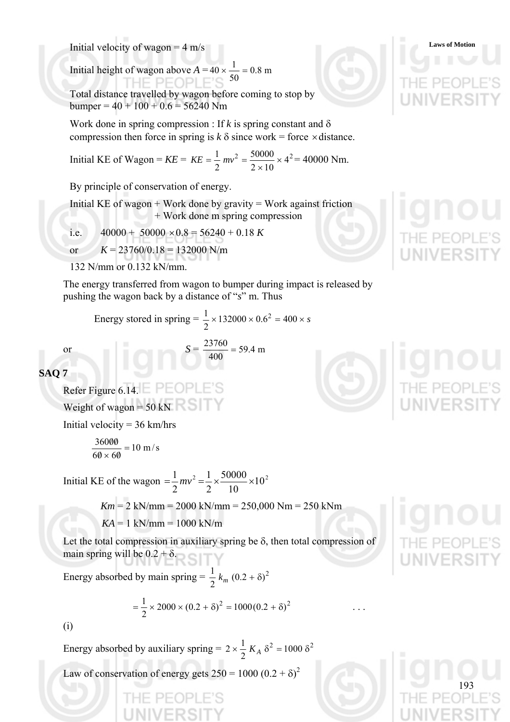Initial velocity of wagon = 4 m/s

Initial height of wagon above  $A = 40 \times \frac{1}{20} = 0.8$  m 50  $40 \times \frac{1}{10} =$ 

Total distance travelled by wagon before coming to stop by bumper =  $40 + 100 + 0.6 = 56240$  Nm

Work done in spring compression : If  $k$  is spring constant and  $\delta$ compression then force in spring is  $k \delta$  since work = force  $\times$  distance.

Initial KE of Wagon =  $KE = KE = \frac{1}{2} mv^2 = \frac{50000}{24.3} \times 4^2$  $2\times10$ 50000 2  $\frac{1}{2}mv^2 = \frac{50000}{2} \times$ ×  $KE = \frac{1}{2}mv^2 = \frac{30000}{2} \times 4^2 = 40000$  Nm.

By principle of conservation of energy.

Initial KE of wagon  $+$  Work done by gravity  $=$  Work against friction + Work done m spring compression

i.e.  $40000 + 50000 \times 0.8 = 56240 + 0.18 K$ 

or  $K = 23760/0.18 = 132000$  N/m

132 N/mm or 0.132 kN/mm.

The energy transferred from wagon to bumper during impact is released by pushing the wagon back by a distance of "*s*" m. Thus

Energy stored in spring  $= \frac{1}{2} \times 132000 \times 0.6^2 = 400 \times s$ 2  $1 \times 132000 \times 0.62$ 

or 
$$
S = \frac{23760}{400} = 59.4 \text{ m}
$$

**SAQ 7** 

Refer Figure 6.14. Weight of wagon  $= 50 \text{ kN}$ 

Initial velocity =  $36 \text{ km/hrs}$ 

$$
\frac{36000}{60 \times 60} = 10 \text{ m/s}
$$

Initial KE of the wagon  $=\frac{1}{2}mv^2 = \frac{1}{2} \times \frac{30000}{100} \times 10^2$ 10 50000 2 1 2  $=\frac{1}{2}mv^2 = \frac{1}{2} \times \frac{50000}{100} \times$ 

*Km* = 2 kN/mm = 2000 kN/mm = 250,000 Nm = 250 kNm

 $KA = 1$  kN/mm = 1000 kN/m

Let the total compression in auxiliary spring be  $\delta$ , then total compression of main spring will be  $0.2 + \delta$ .

Energy absorbed by main spring =  $\frac{1}{2} k_m (0.2 + \delta)^2$ 

$$
= \frac{1}{2} \times 2000 \times (0.2 + \delta)^2 = 1000(0.2 + \delta)^2
$$

(i)

Energy absorbed by auxiliary spring =  $2 \times \frac{1}{2} K_A \delta^2 = 1000 \delta^2$  $2 \times \frac{1}{2} K_A \delta^2 = 1000 \delta$ 

Law of conservation of energy gets  $250 = 1000 (0.2 + \delta)^2$ 







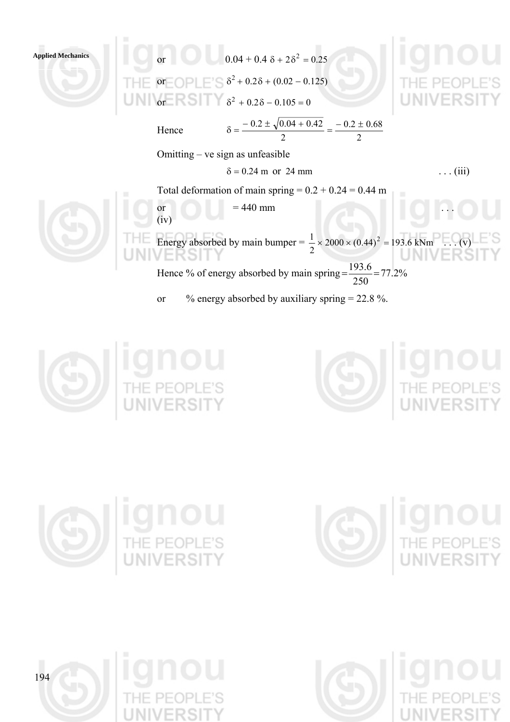**Applied Mechanics or**  $0.04 + 0.4 \delta + 2\delta^2 = 0.25$ or  $\bigcap$   $\bigcap$   $\bigcap$   $\delta^2$  + 0.28 + (0.02 – 0.125)

or  $\delta^2 + 0.2\delta - 0.105 = 0$ 

Hence

(iv)

 $0.2 \pm 0.68$ 2  $\delta = \frac{-0.2 \pm \sqrt{0.04 + 0.42}}{0.04 + 0.42} = \frac{-0.2 \pm \sqrt{0.04 + 0.42}}{0.04 + 0.42}$ 

Omitting – ve sign as unfeasible

$$
\delta = 0.24 \text{ m or } 24 \text{ mm}
$$
 ... (iii)

2

Total deformation of main spring  $= 0.2 + 0.24 = 0.44$  m



or  $= 440$  mm  $\ldots$ 

Energy absorbed by main bumper =  $\frac{1}{2} \times 2000 \times (0.44)^2 = 193.6 \text{ kNm} \dots (v)$ Hence % of energy absorbed by main spring  $=\frac{133.0}{250}$  = 77.2%  $=\frac{193.6}{25.8}$ 

250 or  $\%$  energy absorbed by auxiliary spring = 22.8 %.









**gnol**<br>HE PEOPLE<br>INIVERSIT